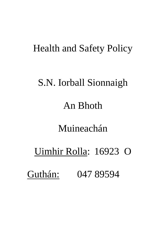# Health and Safety Policy

# S.N. Iorball Sionnaigh

# An Bhoth

# Muineachán

# Uimhir Rolla: 16923 O Guthán: 047 89594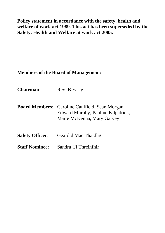**Policy statement in accordance with the safety, health and welfare of work act 1989. This act has been superseded by the Safety, Health and Welfare at work act 2005.**

# **Members of the Board of Management:**

| <b>Chairman:</b>       | Rev. B. Early                                                                                                              |
|------------------------|----------------------------------------------------------------------------------------------------------------------------|
|                        | <b>Board Members:</b> Caroline Caulfield, Sean Morgan,<br>Edward Murphy, Pauline Kilpatrick,<br>Marie McKenna, Mary Garvey |
| <b>Safety Officer:</b> | Gearóid Mac Thaidhg                                                                                                        |
| <b>Staff Nominee:</b>  | Sandra Uí Thréinfhir                                                                                                       |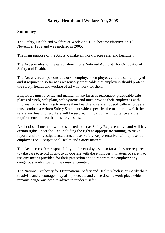# **Safety, Health and Welfare Act, 2005**

# **Summary**

The Safety, Health and Welfare at Work Act, 1989 became effective on 1<sup>st</sup> November 1989 and was updated in 2005.

The main purpose of the Act is to make all work places safer and healthier.

The Act provides for the establishment of a National Authority for Occupational Safety and Health.

The Act covers all persons at work – employers, employees and the self employed and it requires in so far as is reasonably practicable that employers should protect the safety, health and welfare of all who work for them.

Employers must provide and maintain in so far as is reasonably practicable safe places of work, safe plant, safe systems and must provide their employees with information and training to ensure their health and safety. Specifically employers must produce a written Safety Statement which specifies the manner in which the safety and health of workers will be secured. Of particular importance are the requirements on health and safety issues.

A school staff member will be selected to act as Safety Representative and will have certain rights under the Act, including the right to appropriate training, to make reports and to investigate accidents and as Safety Representative, will represent all employees on Occupational Health and Safety matters.

The Act also confers responsibility on the employees in so far as they are required to take care to avoid injury, to co-operate with the employer in matters of safety, to use any means provided for their protection and to report to the employer any dangerous work situation they may encounter.

The National Authority for Occupational Safety and Health which is primarily there to advise and encourage, may also prosecute and close down a work place which remains dangerous despite advice to render it safer.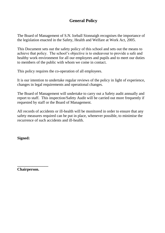# **General Policy**

The Board of Management of S.N. Iorball Sionnaigh recognises the importance of the legislation enacted in the Safety, Health and Welfare at Work Act, 2005.

This Document sets out the safety policy of this school and sets out the means to achieve that policy. The school's objective is to endeavour to provide a safe and healthy work environment for all our employees and pupils and to meet our duties to members of the public with whom we come in contact.

This policy requires the co-operation of all employees.

It is our intention to undertake regular reviews of the policy in light of experience, changes in legal requirements and operational changes.

The Board of Management will undertake to carry out a Safety audit annually and report to staff. This inspection/Safety Audit will be carried out more frequently if requested by staff or the Board of Management.

All records of accidents or ill-health will be monitored in order to ensure that any safety measures required can be put in place, whenever possible, to minimise the recurrence of such accidents and ill-health.

**Signed:**

**Chairperson.**

**\_\_\_\_\_\_\_\_\_\_\_\_\_\_\_\_**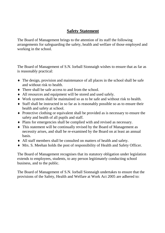# **Safety Statement**

The Board of Management brings to the attention of its staff the following arrangements for safeguarding the safety, health and welfare of those employed and working in the school.

The Board of Management of S.N. Iorball Sionnaigh wishes to ensure that as far as is reasonably practical:

- The design, provision and maintenance of all places in the school shall be safe and without risk to health.
- There shall be safe access to and from the school.
- All resources and equipment will be stored and used safely.
- Work systems shall be maintained so as to be safe and without risk to health.
- Staff shall be instructed in so far as is reasonably possible so as to ensure their health and safety at school.
- Protective clothing or equivalent shall be provided as is necessary to ensure the safety and health of all pupils and staff.
- Plans for emergencies shall be complied with and revised as necessary.
- This statement will be continually revised by the Board of Management as necessity arises, and shall be re-examined by the Board on at least an annual basis.
- All staff members shall be consulted on matters of health and safety.
- Mrs. S. Meehan holds the post of responsibility of Health and Safety Officer.

The Board of Management recognises that its statutory obligation under legislation extends to employees, students, to any person legitimately conducting school business, and to the public.

The Board of Management of S.N. Iorball Sionnaigh undertakes to ensure that the provisions of the Safety, Health and Welfare at Work Act 2005 are adhered to: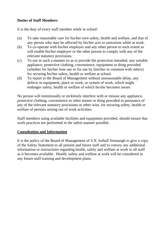#### **Duties of Staff Members**

It is the duty of every staff member while in school:

- (a) To take reasonable care for his/her own safety, health and welfare, and that of any person who may be affected by his/her acts or omissions while at work.
- (b) To co-operate with his/her employer and any other person to such extent as will enable his/her employer or the other person to comply with any of the relevant statutory provisions.
- (c) To use in such a manner so as to provide the protection intended, any suitable appliance, protective clothing, convenience, equipment or thing provided (whether for his/her lone use or for use by him/her in common with others) for securing his/her safety, health or welfare at school.
- (d) To report to the Board of Management without unreasonable delay, any defects in equipment, place or work, or system of work, which might endanger safety, health or welfare of which he/she becomes aware.

No person will intentionally or recklessly interfere with or misuse any appliance, protective clothing, convenience or other means or thing provided in pursuance of any of the relevant statutory provisions or other wise, for securing safety, health or welfare of persons arising out of work activities.

Staff members using available facilities and equipment provided, should ensure that work practices are performed in the safest manner possible.

# **Consultation and Information**

It is the policy of the Board of Management of S.N. Iorball Sionnaigh to give a copy of the Safety Statement to all present and future staff and to convey any additional information or instructions regarding health, safety and welfare at work to all staff as it becomes available. Health, safety and welfare at work will be considered in any future staff training and development plans.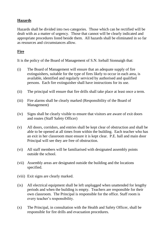# **Hazards**

Hazards shall be divided into two categories. Those which can be rectified will be dealt with as a matter of urgency. Those that cannot will be clearly indicated and appropriate procedures listed beside them. All hazards shall be eliminated in so far as resources and circumstances allow.

#### **Fire**

It is the policy of the Board of Management of S.N. Iorball Sionnaigh that:

- (i) The Board of Management will ensure that an adequate supply of fire extinguishers, suitable for the type of fires likely to occur in each area, is available, identified and regularly serviced by authorised and qualified persons. Each fire extinguisher shall have instructions for its use.
- (ii) The principal will ensure that fire drills shall take place at least once a term.
- (iii) Fire alarms shall be clearly marked (Responsibility of the Board of Management)
- (iv) Signs shall be clearly visible to ensure that visitors are aware of exit doors and routes (Staff Safety Officer)
- (v) All doors, corridors, and entries shall be kept clear of obstruction and shall be able to be opened at all times from within the building. Each teacher who has an exit in her classroom must ensure it is kept clear. P.E. hall and main door Principal will see they are free of obstruction.
- (vi) All staff members will be familiarised with designated assembly points outside the school.
- (vii) Assembly areas are designated outside the building and the locations specified.
- (viii) Exit signs are clearly marked.
- (ix) All electrical equipment shall be left unplugged when unattended for lengthy periods and when the building is empty. Teachers are responsible for their own classroom. The Principal is responsible for the office. Staff room is every teacher's responsibility.
- (x) The Principal, in consultation with the Health and Safety Officer, shall be responsible for fire drills and evacuation procedures.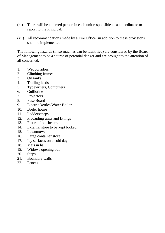- (xi) There will be a named person in each unit responsible as a co-ordinator to report to the Principal.
- (xii) All recommendations made by a Fire Officer in addition to these provisions shall be implemented

The following hazards (in so much as can be identified) are considered by the Board of Management to be a source of potential danger and are brought to the attention of all concerned.

- 1. Wet corridors
- 2. Climbing frames
- 3. Oil tanks
- 4. Trailing leads
- 5. Typewriters, Computers
- 6. Guillotine
- 7. Projectors
- 8. Fuse Board
- 9. Electric kettles/Water Boiler
- 10. Boiler house
- 11. Ladders/steps
- 12. Protruding units and fittings
- 13. Flat roof on shelter.
- 14. External store to be kept locked.
- 15. Lawnmower
- 16. Large container store
- 17. Icy surfaces on a cold day
- 18. Mats in hall
- 19. Widows opening out
- 20. Steps
- 21. Boundary walls
- 22. Fences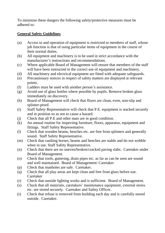To minimise these dangers the following safety/protective measures must be adhered to:

# **General Safety Guidelines**

- (a) Access to and operation of equipment is restricted to members of staff, whose job function is that of using particular items of equipment in the course of their normal duties.
- (b) All equipment and machinery is to be used in strict accordance with the manufacturer's instructions and recommendations.
- (c) Where applicable Board of Management will ensure that members of the staff will have been instructed in the correct use of equipment and machinery.
- (d) All machinery and electrical equipment are fitted with adequate safeguards.
- (e) Precautionary notices in respect of safety matters are displayed at relevant points.
- (f) Ladders must be used with another person's assistance.
- (g) Avoid use of glass bottles where possible by pupils. Remove broken glass immediately on discovery.
- (h) Board of Management will check that floors are clean, even, non-slip and splinter-proof.
- (i) Staff Safety Representative will check that P.E. equipment is stacked securely and in position so as not to cause a hazard.
- (j) Check that all P.E and other mats are in good condition.
- (k) An annual routine for inspecting furniture, floors, apparatus, equipment and fittings. Staff Safety Representative.
- (l) Check that wooden beams, benches etc. are free from splinters and generally sound. Staff Safety Representative.
- (m) Check that vaulting horses, beams and benches are stable and do not wobble when in use. Staff Safety Representative.
- (n) Check that there are no uneven/broken/cracked paving slabs. Caretaker under Board of Management.
- (o) Check that roofs, guttering, drain pipes etc. as far as can be seen are sound and well maintained. Board of Management/ Caretaker.
- (p) Check that manholes are safe. Caretaker.
- (q) Check that all play areas are kept clean and free from glass before use. Caretaker
- (r) Check that outside lighting works and is sufficient. Board of Management.
- (s) Check that all materials, caretakers' maintenance equipment, external stores etc. are stored securely. Caretaker and Safety Officer.
- (t) Check that refuse is removed from building each day and is carefully stored outside. Caretaker.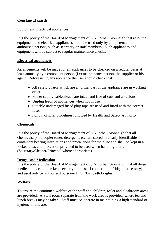# **Constant Hazards**

Equipment, Electrical appliances

It is the policy of the Board of Management of S.N. Iorball Sionnaigh that resource equipment and electrical appliances are to be used only by competent and authorised persons, such as secretary or staff members. Such appliances and equipment will be subject to regular maintenance checks.

# **Electrical appliances**

Arrangements will be made for all appliances to be checked on a regular basis at least annually by a competent person (i.e) maintenance person, the supplier or his agent. Before using any appliance the user should check that:

- All safety guards which are a normal part of the appliance are in working order
- Power supply cables/leads are intact and free of cuts and abrasions
- Unplug leads of appliances when not in use.
- Suitable undamaged fused plug tops are used and fitted with the correct fuse.
- Follow official guidelines followed by Health and Safety Authority.

# **Chemicals**

It is the policy of the Board of Management of S.N Iorball Sionnaigh that all chemicals, photocopier toner, detergents etc. are stored in clearly identifiable containers bearing instructions and precautions for their use and shall be kept in a locked area, and protection provided to be used when handling them. (Secretary/Cleaner/Principal where appropriate).

# **Drugs And Medication**

It is the policy of the Board of Management of S.N. Iorball Sionnaigh that all drugs, medications, etc. to be kept securely in the staff room (in the fridge if necessary) and used only by authorised personnel. Cf 'Dáileadh Leighis'

# **Welfare**

To ensure the continued welfare of the staff and children, toilet and cloakroom areas are provided. A Staff room separate from the work area is provided, where tea and lunch breaks may be taken. Staff must co-operate in maintaining a high standard of hygiene in this area.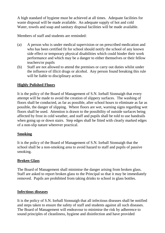A high standard of hygiene must be achieved at all times. Adequate facilities for waste disposal will be made available. An adequate supply of hot and cold Water, towels and soap and sanitary disposal facilities will be made available.

Members of staff and students are reminded:

- (a) A person who is under medical supervision or on prescribed medication and who has been certified fit for school should notify the school of any known side effect or temporary physical disabilities which could hinder their work performance and which may be a danger to either themselves or their fellow teachers/or pupils
- (b) Staff are not allowed to attend the premises or carry out duties whilst under the influence of illicit drugs or alcohol. Any person found breaking this rule will be liable to disciplinary action.

#### **Highly Polished Floors**

It is the policy of the Board of Management of S.N. Iorball Sionnaigh that every attempt will be made to avoid the creation of slippery surfaces. The washing of floors shall be conducted, as far as possible, after school hours to eliminate as far as possible, the danger of slipping. Where floors are wet, warning signs regarding wet floors shall be used. Attention is drawn to the possibility of outside surfaces being affected by frost in cold weather, and staff and pupils shall be told to use handrails when going up or down stairs. Step edges shall be fitted with clearly marked edges of a non-slip nature wherever practical.

#### **Smoking**

It is the policy of the Board of Management of S.N. Iorball Sionnaigh that the school shall be a non-smoking area to avoid hazard to staff and pupils of passive smoking.

#### **Broken Glass**

The Board of Management shall minimise the danger arising from broken glass. Staff are asked to report broken glass to the Principal so that it may be immediately removed. Pupils are prohibited from taking drinks to school in glass bottles.

#### **Infectious diseases**

It is the policy of S.N. Iorball Sionnaigh that all infectious diseases shall be notified and steps taken to ensure the safety of staff and students against all such diseases. The Board of Management will endeavour to minimise the risk by adherence to sound principles of cleanliness, hygiene and disinfection and have provided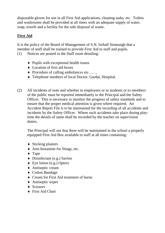disposable gloves for use in all First Aid applications, cleaning tasks, etc. Toilets and washrooms shall be provided at all times with an adequate supply of water, soap, towels and a facility for the safe disposal of waste.

# **First Aid**

It is the policy of the Board of Management of S.N. Iorball Sionnaigh that a member of staff shall be trained to provide First Aid to staff and pupils. (1) Notices are posted in the Staff room detailing:

- $\bullet$  Pupils with exceptional health issues
- Location of first aid boxes
- ◆ Procedure of calling ambulances etc……,
- Telephone numbers of local Doctor, Gardaí, Hospital.
- (2) All incidents of note and whether to employees or to students or to members of the public must be reported immediately to the Principal and the Safety Officer. This is necessary to monitor the progress of safety standards and to ensure that the proper medical attention is given where required. An Accident Report File is to be maintained for the recording of all accidents and incidents by the Safety Officer. Where such accidents take place during playtime the details of same shall be recorded by the teacher on supervision duties.

The Principal will see that there will be maintained in the school a properly equipped First Aid Box available to staff at all times containing:

- ◆ Sticking plasters
- Anti-histamine for Stings, etc.
- ◆ Tape
- Disinfectant (e.g.) Savlon
- Eye lotion (e.g.) Optrex
- Antiseptic cream
- ◆ Cotton Bandage
- ◆ Cream for First Aid treatment of burns
- ◆ Antiseptic wipes
- $\triangleleft$  Scissors
- ◆ First Aid Chart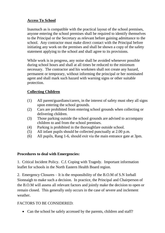#### **Access To School**

Inasmuch as is compatible with the practical layout of the school premises, anyone entering the school premises shall be required to identify themselves to the Principal or the Secretary as relevant before gaining admittance to the school. Any contractor must make direct contact with the Principal before initiating any work on the premises and shall be shown a copy of the safety statement applying to the school and shall agree to its provisions.

While work is in progress, any noise shall be avoided whenever possible during school hours and shall at all times be reduced to the minimum necessary. The contractor and his workmen shall not create any hazard, permanent or temporary, without informing the principal or her nominated agent and shall mark such hazard with warning signs or other suitable protection.

# **Collecting Children**

- (1) All parent/guardians/carers, in the interest of safety must obey all signs upon entering the school grounds.
- (2) Cars are prohibited from entering school grounds when collecting or delivering children.
- (3) Those parking outside the school grounds are advised to accompany children to and from the school premises.
- (4) Parking is prohibited in the thoroughfare outside school.
- (5) All infant pupils should be collected punctually at 2.00 p.m.
- (6) All pupils, Rang 1-6, should exit via the main entrance gate at 3pm.

#### **Procedures to deal with Emergencies:**

1. Critical Incident Policy. C.f. Coping with Tragedy. Important information leaflet for schools in the North Eastern Health Board region.

2. Emergency Closures – It is the responsibility of the B.O.M of S.N Iorball Sionnaigh to make such a decision. In practice, the Principal and Chairperson of the B.O.M will assess all relevant factors and jointly make the decision to open or remain closed. This generally only occurs in the case of severe and inclement weather.

# FACTORS TO BE CONSIDERED:

• Can the school be safely accessed by the parents, children and staff?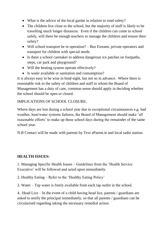- What is the advice of the local gardai in relation to road safety?
- The children live close to the school, but the majority of staff is likely to be travelling much longer distances. Even if the children can come to school safely, will there be enough teachers to manage the children and ensure their safety?
- Will school transport be in operation? Bus Eireann, private operators and transport for children with special needs.
- Is there a school caretaker to address dangerous ice patches on footpaths, steps, car park and playground?
- Will the heating system operate effectively?
- Is water available or sanitation and consumption?

It is always easy to be wise in hind-sight, but not so in advance. Where there is reasonable risk to the safety of children and staff to whom the Board of Management has a duty of care, common sense should apply in deciding whether the school should be open or closed.

# IMPLICATIONS OF SCHOOL CLOSURE:

Where days are lost during a school year due to exceptional circumstances e.g. bad weather, heat/water systems failures, the Board of Management should make 'all reasonable efforts' to make up these school days during the remainder of the same school year.

N.B Contact will be made with parents by Text aParent.ie and local radio station.

# **HEALTH ISSUES:**

1. Managing Specific Health Issues – Guidelines from the 'Health Service Executive' will be followed and acted upon immediately.

2. Healthy Eating – Refer to the 'Healthy Eating Policy'

3. Water – Tap water is freely available from each tap outlet in the school.

4. Head Lice – In the event of a child having head lice, parents / guardians are asked to notify the principal immediately, so that all parents / guardians can be circularised regarding taking the necessary remedial action.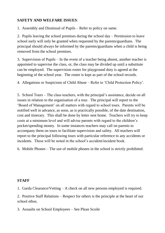# **SAFETY AND WELFARE ISSUES**:

1. Assembly and Dismissal of Pupils – Refer to policy on same.

2. Pupils leaving the school premises during the school day – Permission to leave school early will only be granted when requested by the parents/guardians. The principal should always be informed by the parents/guardians when a child is being removed from the school premises.

3. Supervision of Pupils – In the event of a teacher being absent, another teacher is appointed to supervise the class, or, the class may be divided up until a substitute can be employed. The supervision roster for playground duty is agreed at the beginning of the school year. The roster is kept as part of the school records.

4. Allegations or Suspicions of Child Abuse – Refer to 'Child Protection Policy'.

5. School Tours – The class teachers, with the principal's assistance, decide on all issues in relation to the organisation of a tour. The principal will report to the 'Board of Management' on all matters with regard to school tours. Parents will be notified well in advance, as soon, as is practically possible, of the date destination, cost and itinerary. This shall be done by letter sent home. Teachers will try to keep costs at a minimum level and will advise parents with regard to the children's pocket/spending money. In some instances teachers may call on parents to accompany them on tours to facilitate supervision and safety. All teachers will report to the principal following tours with particular reference to any accidents or incidents. These will be noted in the school's accident/incident book.

6. Mobile Phones – The use of mobile phones in the school is strictly prohibited.

#### **STAFF**

1. Garda Clearance/Vetting – A check on all new persons employed is required.

2. Positive Staff Relations – Respect for others is the principle at the heart of our school ethos.

3. Assaults on School Employees – See Plean Scoile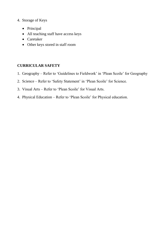- 4. Storage of Keys
	- Principal
	- All teaching staff have access keys
	- Caretaker
	- Other keys stored in staff room

#### **CURRICULAR SAFETY**

- 1. Geography Refer to 'Guidelines to Fieldwork' in 'Plean Scoile' for Geography
- 2. Science Refer to 'Safety Statement' in 'Plean Scoile' for Science.
- 3. Visual Arts Refer to 'Plean Scoile' for Visual Arts.
- 4. Physical Education Refer to 'Plean Scoile' for Physical education.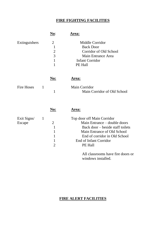# **FIRE FIGHTING FACILITIES**

|                       |              | No:                                                                                                | <b>Area:</b>                                                                                                                                                                                        |
|-----------------------|--------------|----------------------------------------------------------------------------------------------------|-----------------------------------------------------------------------------------------------------------------------------------------------------------------------------------------------------|
| Extinguishers         |              | $\overline{2}$<br>$\mathbf{1}$<br>$\overline{c}$<br>$\overline{3}$<br>$\mathbf{1}$<br>$\mathbf{1}$ | Middle Corridor<br><b>Back Door</b><br>Corridor of Old School<br>Main Entrance Area<br><b>Infant Corridor</b><br>PE Hall                                                                            |
| <b>Fire Hoses</b>     | 1            | <u>No:</u><br>$\mathbf{1}$                                                                         | <u>Area:</u><br>Main Corridor<br>Main Corridor of Old School                                                                                                                                        |
|                       |              | <u>No:</u>                                                                                         | Area:                                                                                                                                                                                               |
| Exit Signs/<br>Escape | $\mathbf{1}$ | $\overline{2}$<br>$\mathbf{1}$<br>$\mathbf{1}$<br>1<br>1<br>$\overline{2}$                         | Top door off Main Corridor<br>Main Entrance – double doors<br>Back door – beside staff toilets<br>Main Entrance of Old School<br>End of corridor in Old School<br>End of Infant Corridor<br>PE Hall |
|                       |              |                                                                                                    | All classrooms have fire doors or<br>windows installed.                                                                                                                                             |

# **FIRE ALERT FACILITIES**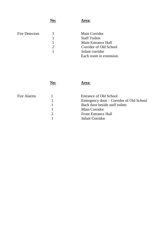|                       | No: | Area:                     |
|-----------------------|-----|---------------------------|
| <b>Fire Detectors</b> | 3   | Main Corridor             |
|                       |     | <b>Staff Toilets</b>      |
|                       |     | <b>Main Entrance Hall</b> |
|                       |     | Corridor of Old School    |
|                       |     | Infant corridor           |
|                       |     | Each room in extension.   |

|             | rea:                                    |
|-------------|-----------------------------------------|
| Fire Alarms | Entrance of Old School                  |
|             |                                         |
|             | Emergency door – Corridor of Old School |
|             | Back door beside staff toilets          |
|             | <b>Main Corridor</b>                    |
|             | <b>Front Entrance Hall</b>              |
|             | <b>Infant Corridor</b>                  |